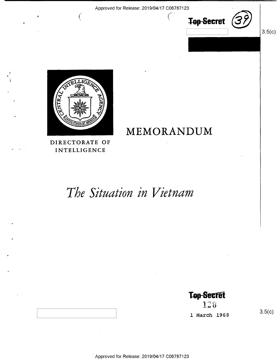

 $3.5(c)$ 



 $\left($ 

MEMORANDUM

DIRECTORATE OF INTELLIGENCE

# The Situation in Vietnam

**Top Secret** 

128 1 March 1968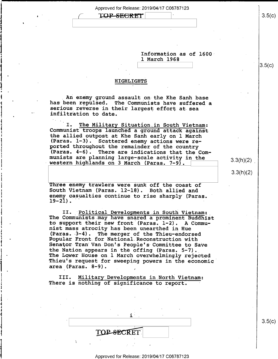

Information as of  $1600$ l March 1968

 $\Box$  s.5(c)

#### HIGHLIGHTS

L

I

An enemy ground assault on the Khe Sanh base<br>has been repulsed. The Communists have suffered a<br>serious reverse in their largest effort at sea<br>infiltration to date.

I. The Military Situation in South Vietnam:<br>Communist troops launched a ground attack against<br>the allied outpost at Khe Sanh early on 1 March<br>(Paras. 1-3). Scattered enemy actions were re-<br>ported throughout the remainder o munists are planning large-scale activity in the  $w$  as  $3:3(h)(2)$  western highlands on 3 March (Paras. 7-9).

Three enemy trawlers were sunk off the coast of South Vietnam (Paras. l2-18). Both allied and enemy casualties continue to rise sharply (Paras.<br>19-21).

The Communists may have snared a prominent Buddhist<br>to support their new front (Paras. 1-2). A Commu-II. Political Developments in South Vietnam: nist mass atrocity has been unearthed in Hue<br>(Paras. 3-4). The merger of the Thieu-endorsed Popular Front for National Reconstruction with<br>Senator Tran Van Don's People's Committee to Save<br>the Nation appears in the offing (Paras. 5-7). The Lower House on, I March overwhelmingly rejected Thieu's request for sweeping powers in the economic area (Paras. 8-9).

III. Military Developments in North Vietnam: There is nothing of significance to report.

 $\blacksquare$ 

| TOP-SECRET |
|------------|
|            |

\ s.5(¢

#### Approved for Release: 2019/04/17 C06787123

 $3.5(c)$ 

3.3(h)(2)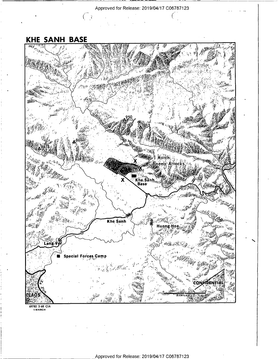$\bar{z}$ 

**KHE SANH BASE** 

 $\sqrt{2}$ 



69782 3-68 CIA

Approved for Release: 2019/04/17 C06787123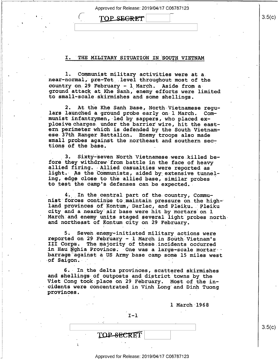Approved for Release: 2019/04/17 C06787123;

TOP SE<del>GRET</del>

#### I. THE MILITARY SITUATION IN SOUTH VIETNAM

1. Communist military activities were at a.<br>near-normal, pre-Tet level throughout most of the country on 29 February - 1 March. Aside from a-<br>ground attack at Khe Sanh, enemy efforts were limited to small-scale skirmishes and some shellings.

2. At the Khe Sanh Base, North Vietnamese regu- lars launched a ground probe early on~l March. Communist.infantrymen, led by sappers, who placed explosive charges. under the barrier wire, hit the east-<br>ern perimeter which is defended by the South Vietnamese 37th Ranger Battalion. Enemy troops also made small probes against the northeast and southern sec-<br>tions of the base.

3. Sixty-seven North Vietnamese were killed be-<br>fore they withdrew from battle in the face of heavy allied firing. Allied casualties were reported as<br>light. As the Communists, aided by extensive tunnel-<br>ing, edge close to the allied base, similar probes to test the camp's defenses can be expected.

4. In the central part of the country, Commu-<br>nist forces continue to maintain pressure on the highland provinces of Kontum, Darlac, and Pleiku. Pleiku.<br>city and a nearby air base were hit by mortars on 1 March and enemy units staged several light probes northand northeast of Kontum city on 29 February.

5. Seven enemy-initiated military actions were<br>reported on 29 February - l March in South-Vietnam's<br>III Corps. The majority of these incidents occurred in Hau Nghia Province. One was a large-scale mortar barrage against a US Army base camp some l5 miles west  $of$  Saigon. -I

6. In the delta provinces, scattered skirmishes and shellings of outposts and district towns by the Viet Cong took place on 29 February. Most of the in- cidents were concentrated in Vinh Long and Dinh Tuong provinces. ,

l March 1968

 $I-1$ 

TOP-SECRET

X

 $3.5(c)$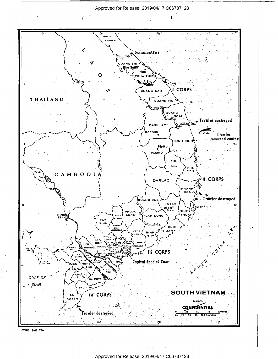

<sup>69783 3-68</sup> CIA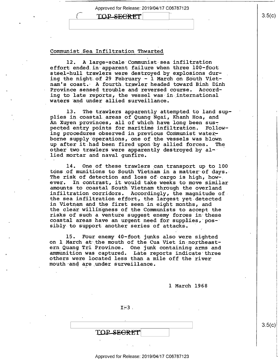# TOP SECRET

#### Communist\_Sea.Infiltration Thwarted

 $\mathbf{K}$  is a set of  $\mathbf{K}$  in the set of  $\mathbf{K}$ 

\

12. A large-scale Communist sea infiltration effort ended in apparent failure when three 100-foot steel-hull trawlers were destroyed by explosions dur-<br>ing the night of 29 February - 1 March on South Vietnam's coast. A fourth trawler headed toward Binh Dinh<br>Province sensed trouble and reversed course. Accord-Province sensed trouble and reversed course. ing to late reports, the vessel was in international waters and under allied surveillance.

13. The trawlers apparently attempted to land supplies in coastal areas of Quang Ngai, Khanh Hoa, and An Xuyen provinces, all of which have long been sus-<br>pected entry points for maritime infiltration. Follow-<br>ing procedures observed in previous Communist waterborne supply operations, one of the vessels was blown up after it had been fired upon by allied forces. "The other two trawlers were apparently destroyed by al- lied mortar and naval gunfire.

14. One of these trawlers can transport up to 100 tons of munitions to South Vietnam in a matter of days.<br>The risk of detection and loss of cargo is high, how-<br>ever. In contrast, it would take weeks to move similar amounts to coastal South Vietnam-through the overland infiltration corridors. Accordingly, the magnitude of the sea infiltration effort, the largest yet detected in Vietnam and the first seen in eight months, and the clear willingness of the Communists to accept the risks of such a venture suggest enemy forces in these coastal areas have an urgent need for supplies, possibly to support another series of attacks. In contrast, it would take weeks to move similar

15. Four enemy 40-foot junks also were sighted<br>on 1 March at the mouth of the Cua Viet in northeast-<br>ern Quang Tri Province. One junk containing arms and<br>ammunition was captured. Late reports indicate three<br>others were loc mouth and-are under surveillance.

l March 1968

 $I=3$ .

' '

TOP SEGRET

Approved for Release: 2019/04/17 C06787123

 $3.5(c)$ 

 $\sim$  3.5 $\sim$  3.5 $\sim$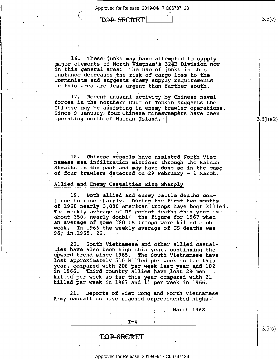1

 $3.5(c)$ 

3.3(h)(2)

 $3.5(c)$ 

TOP-SECRET

n

16. These junks may have attempted to supply<br>major elements of North Vietnam's 324B Division now<br>in this general area. The use of junks in this<br>instance decreases the risk of cargo loss to the Communists and suggests enemy supply-requirements in this area are less urgent than farther south.

17. Recent unusual activity by Chinese naval<br>forces in the northern Gulf of Tonkin suggests the<br>Chinese may be assisting in enemy trawler operations; Since 9 January, four Chinese minesweepers have been operating north of Hainan Island.

18. Chinese vessels have assisted North Viet-<br>namese sea infiltration missions through the Hainan Straits in the past and may have done so in the case of four trawlers detected on 29 February - 1 March.

#### Allied and Enemy\_Casualties Rise Sharply

19. Both allied and enemy battle deaths continue to rise sharply. During the first two months<br>of 1968 nearly 3,000 American troops have been killed. The weekly average of US combat deaths this year is about 350, nearly double the figure for 1967 when an average of some 180 US troops were killed each week. In 1966 the weekly average of US deaths was 96; in 1965, 26.

20. South Vietnamese and other allied casual-<br>ties have also been high this year, continuing the<br>upward trend since 1965. The South Vietnamese have<br>lost approximately 510 killed per week so far this year, compared with 206 per week last year and 182<br>in 1966. Third country allies have lost 28 men<br>killed per week so far this year compared with 21 killed per week in 1967 and 11 per week in 1966.

21. Reports of Viet Cong and North Vietnamese Army casualties have reached unprecedented highs -

; \_l March 1968

 $I-4$ .

 $\mathcal{L} \equiv \mathcal{L} \equiv \mathcal{L} \equiv \mathcal{L} \equiv \mathcal{L} \equiv \mathcal{L} \equiv \mathcal{L} \equiv \mathcal{L} \equiv \mathcal{L} \equiv \mathcal{L} \equiv \mathcal{L} \equiv \mathcal{L} \equiv \mathcal{L} \equiv \mathcal{L} \equiv \mathcal{L} \equiv \mathcal{L} \equiv \mathcal{L} \equiv \mathcal{L} \equiv \mathcal{L} \equiv \mathcal{L} \equiv \mathcal{L} \equiv \mathcal{L} \equiv \mathcal{L} \equiv \mathcal{L} \equiv \mathcal{L} \equiv \mathcal{L} \equiv \mathcal{L} \equiv \mathcal{$ 

TOP <del>SEC</del>RET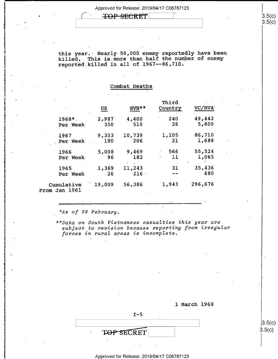**TOP-SECRET** 7 3.5(c)

reported killed in all of  $1967--86$ , 710. this year. Nearly 50,000 enemy reportedly have been killed. This is more than half the number of enemy

|                             | US.    | $SUN**$ | Third<br>Country | VC/NVA  |
|-----------------------------|--------|---------|------------------|---------|
| $1968*$                     | 2,987  | 4,400   | 240              | 49,442  |
| Per Week                    | 350    | 510     | 28               | 5,800   |
| 1967                        | 9,353  | 10,739  | 1,105            | 86,710  |
| Per Week                    | 180    | 206     | 21               | 1,688   |
| 1966                        | 5,008  | 9,469   | 566              | 55,524  |
| Per Week                    | 96     | 182     | 11               | 1,065   |
| 1965                        | 1,369  | 11,243  | 31               | 35,436  |
| Per Week                    | 26     | 216     |                  | 680     |
| Cumulative<br>From Jan 1961 | 19,009 | 56,386  | 1,943            | 296,676 |

Combat.Deaths.

\*As of 29 February.

 $\curvearrowright$ .

1

 $\hat{\tau}_1$ 

 $\mathbf{I}$ 

~

'1

1

ŧ.

I:

\*\*Data on South Vietnamese casualties this year are subject to revision because reporting from irregular forces in rural areas is incomplete.

1 March 1968

TOP SECRET

#### Approved for Release: 2019/04/17 C06787123

 $I - 5$ 

 $\left( \begin{smallmatrix} 3.5( c ) \end{smallmatrix} \right)$ 

|3.5(c<br>3.5(c)<br>⊺

 $\lambda$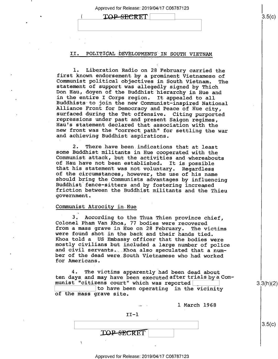| TOP-SECRET |  |
|------------|--|
|            |  |
|            |  |

#### II. POLITICAL DEVELOPMENTS IN SOUTH VIETNAM

1. Liberation Radio on 28 February carried the<br>first known endorsement by a prominent Vietnamese of<br>Communist political objectives in South Vietnam. The<br>statement of support was allegedly signed by Thich<br>Don Hau, doyen of

2. There have been indications that at least<br>some Buddhist militants in Hue cooperated with the<br>Communist attack, but the activities and whereabouts<br>of Hau have not been established. It is possible<br>that his statement was n

#### Communist Atrocity in Hue

1

~

3. According to the Thua Thien province chief,<br>Colonel Pham Van Khoa, 77 bodies were recovered<br>from a mass grave in Hue on 28 February. The victims<br>were found shot in the back and their hands tied.<br>Khoa told a US Embassy o for Americans.

4. The victims apparently had been dead about<br>ten days and may have been executed after trials by a Communist "citizens court" which was reported  $|$ 

 $\Box$  to have been operating in the vicinity of the mass grave site.

1 March 1968

| $TI-1$            |  |
|-------------------|--|
|                   |  |
| <b>TOP-SECRET</b> |  |

3.3(h)(2)

 $3.5(c)$ 

3-5(0)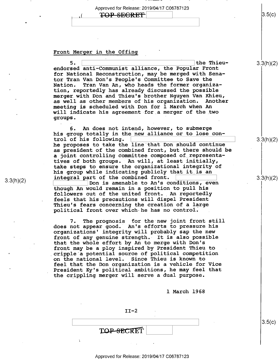Approved for Release: 2019/04/17 C06787123 TOP SEGRET

#### Front Merger in the Offing

 $5.$   $\overline{\phantom{0}}$ the Thieuendorsed anti—Communist alliance, the Popular Front for National Reconstruction, may be merged with Sena tor Tran Van Don's People's Committee to Save the Nation. Tran Van An, who heads the former organiza-<br>tion, reportedly has already discussed the possible tion, reportedly has already discussed the possible<br>merger with Don and Thieu's brother Nguyen Van Khieu,<br>as well as other members of his organization. Another as well as other members of his organization. as well as other members of his organization. Anothe<br>meeting is scheduled with Don for 1 March when An will indicate his agreement-for,a merger of the two groups.

6. An does not intend, however, to submerge his group totally in the new alliance or to lose control of his following. \

he proposes to take the line that Don should continue as president of the combined front, but there should be tives of both groups. An will, at least initially, take steps to ensure the organizational integrity of his group while indicating publicly that it is an integral part of the combined front. a joint controlling committee composed of representa

Don is amenable to An's conditions, even though An would remain in a position to pull his followers out of the united front.\_ An reportedly feels that his precautions will dispel President Thieu's fears concerning the creation of a large political front over which he has no control.

7. The prognosis for the new joint front still<br>not appear good. An's efforts to pressure his 7. The prognosis for the new joint front sti<br>does not appear good. An's efforts to pressure his organizations' integrity will probably sap the new front of any genuine strength. It is also possible that the whole effort by An to merge with Don's front may be a ploy inspired by President Thieu t0 cripple a potential source of political competition on the national level. Since Thieu is known to feel that the Don organization is a vehicle for Vice President Ky's political ambitions, he may feel that the crippling merger will serve a dual purpose.

l March 1968

 $II-2$  $\begin{bmatrix} 3.5(C) \end{bmatrix}$ TOP-SECRET

3.3(h)(2)

 $3.5(c)$ 

 $3.3(h)(2)$ 

3.3(h)(2)

3.3(h)(2)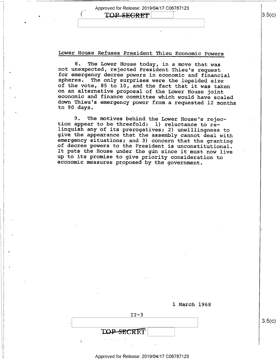### $\text{TOP}$   $\text{SECRE}$  $\mid$   $\mid$   $\mid$   $\mid$   $\mid$  3.5(c)

Lower House Refuses President Thieu Economic Powers

8. The Lower House today, in a move that was<br>not unexpected, rejected President Thieu's request<br>for emergency decree powers in economic and financial<br>spheres. The only surprises were the lopsided size<br>of the vote, 85 to 10

9. The motives behind the Lower House's rejec-<br>tion appear to be threefold: 1) reluctance to re-<br>linguish any of its prerogatives; 2) unwillingness to<br>give the appearance that the assembly cannot deal with<br>emergency situat It puts the House under the gun since it must now live up to its promise to give priority consideration to economic measures proposed by the government.

|                 | 1 March 1968 |
|-----------------|--------------|
| $II-3$          |              |
|                 |              |
| TOP-SECRET      |              |
| and the control |              |

Approved for Release: 2019/04/17 C06787123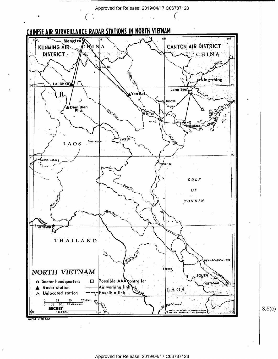

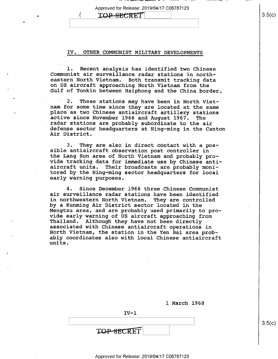$\alpha$  , and the construction of  $\alpha$  -  $\alpha$  ,  $\alpha$  ,  $\alpha$  ,  $\alpha$  ,  $\alpha$  ,  $\alpha$  ,  $\alpha$  ,  $\alpha$  ,  $\alpha$  ,  $\alpha$  ,  $\alpha$  ,  $\alpha$ 

# TOP-SECRET

 $\blacksquare$ 

#### IV. OTHER COMMUNIST MILITARY DEVELOPMENTS

1. Recent analysis has identified two Chinese<br>Communist air surveillance radar stations in north-<br>eastern North Vietnam. Both transmit tracking data<br>on US aircraft approaching North Vietnam from the<br>Gulf of Tonkin between

2. These stations may have been in North Viet-<br>nam for some time since they are located at the same<br>place as two Chinese antiaircraft artillery stations<br>active since November 1966 and August 1967. The<br>radar stations are pr

3. They are also in direct contact with a pos-<br>sible antiaircraft observation post controller in the Lang Son area of North Vietnam and probably provide tracking data for immediate use by Chinese antitored by the Ning-ming sector headquarters for local early warning purposes.

4. Since December 1966 three Chinese Communist air surveillance radar stations have been identified in northwestern North Vietnam. They are controlled<br>by a Kunming Air District sector located in the Mengtzu area, and are probably used primarily to pro-<br>vide early warning of US aircraft approaching from Thailand. Although they have not been directly<br>associated with Chinese antiaircraft operations in<br>North Vietnam, the station in the Yen Bai area probably coordinates also with local Chinese antiaircraft units.

| 1 March 1968 |  |
|--------------|--|
|              |  |

IV—l  $\mathcal{L} \equiv \mathcal{L} \equiv \mathcal{L} \equiv \mathcal{L} \equiv \mathcal{L} \equiv \mathcal{L} \equiv \mathcal{L} \equiv \mathcal{L} \equiv \mathcal{L} \equiv \mathcal{L} \equiv \mathcal{L} \equiv \mathcal{L} \equiv \mathcal{L} \equiv \mathcal{L} \equiv \mathcal{L} \equiv \mathcal{L} \equiv \mathcal{L} \equiv \mathcal{L} \equiv \mathcal{L} \equiv \mathcal{L} \equiv \mathcal{L} \equiv \mathcal{L} \equiv \mathcal{L} \equiv \mathcal{L} \equiv \mathcal{L} \equiv \mathcal{L} \equiv \mathcal{L} \equiv \mathcal{$ TOP-SECRET

Approved for Release: 2019/04/17 C06787123